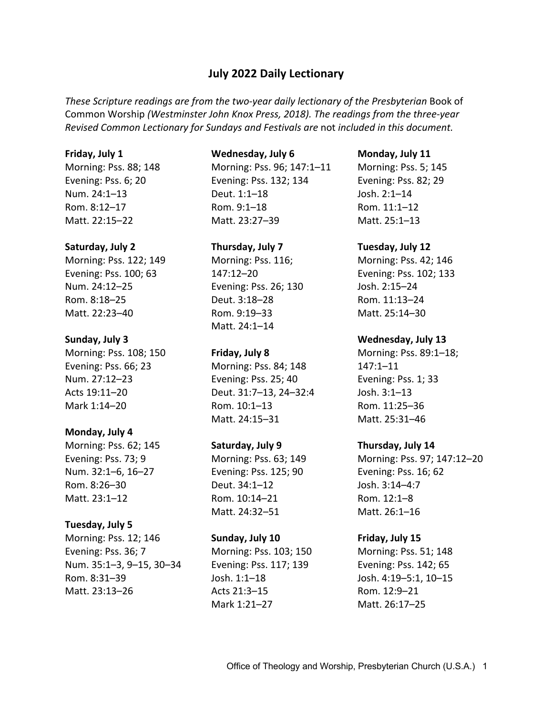# **July 2022 Daily Lectionary**

These Scripture readings are from the two-year daily lectionary of the Presbyterian Book of Common Worship *(Westminster John Knox Press, 2018). The readings from the three-year Revised Common Lectionary for Sundays and Festivals are* not *included in this document.*

#### **Friday, July 1**

Morning: Pss. 88; 148 Evening: Pss. 6; 20 Num. 24:1–13 Rom. 8:12–17 Matt. 22:15–22

### **Saturday, July 2**

Morning: Pss. 122; 149 Evening: Pss. 100; 63 Num. 24:12–25 Rom. 8:18–25 Matt. 22:23–40

#### **Sunday, July 3**

Morning: Pss. 108; 150 Evening: Pss. 66; 23 Num. 27:12–23 Acts 19:11–20 Mark 1:14–20

### **Monday, July 4**

Morning: Pss. 62; 145 Evening: Pss. 73; 9 Num. 32:1–6, 16–27 Rom. 8:26–30 Matt. 23:1–12

### **Tuesday, July 5**

Morning: Pss. 12; 146 Evening: Pss. 36; 7 Num. 35:1–3, 9–15, 30–34 Rom. 8:31–39 Matt. 23:13–26

#### **Wednesday, July 6**

Morning: Pss. 96; 147:1–11 Evening: Pss. 132; 134 Deut. 1:1–18 Rom. 9:1–18 Matt. 23:27–39

### **Thursday, July 7**

Morning: Pss. 116; 147:12–20 Evening: Pss. 26; 130 Deut. 3:18–28 Rom. 9:19–33 Matt. 24:1–14

### **Friday, July 8**

Morning: Pss. 84; 148 Evening: Pss. 25; 40 Deut. 31:7–13, 24–32:4 Rom. 10:1–13 Matt. 24:15–31

### **Saturday, July 9**

Morning: Pss. 63; 149 Evening: Pss. 125; 90 Deut. 34:1–12 Rom. 10:14–21 Matt. 24:32–51

#### **Sunday, July 10**

Morning: Pss. 103; 150 Evening: Pss. 117; 139 Josh. 1:1–18 Acts 21:3–15 Mark 1:21–27

#### **Monday, July 11**

Morning: Pss. 5; 145 Evening: Pss. 82; 29 Josh. 2:1–14 Rom. 11:1–12 Matt. 25:1–13

#### **Tuesday, July 12**

Morning: Pss. 42; 146 Evening: Pss. 102; 133 Josh. 2:15–24 Rom. 11:13–24 Matt. 25:14–30

#### **Wednesday, July 13**

Morning: Pss. 89:1–18; 147:1–11 Evening: Pss. 1; 33 Josh. 3:1–13 Rom. 11:25–36 Matt. 25:31–46

### **Thursday, July 14**

Morning: Pss. 97; 147:12–20 Evening: Pss. 16; 62 Josh. 3:14–4:7 Rom. 12:1–8 Matt. 26:1–16

#### **Friday, July 15**

Morning: Pss. 51; 148 Evening: Pss. 142; 65 Josh. 4:19–5:1, 10–15 Rom. 12:9–21 Matt. 26:17–25